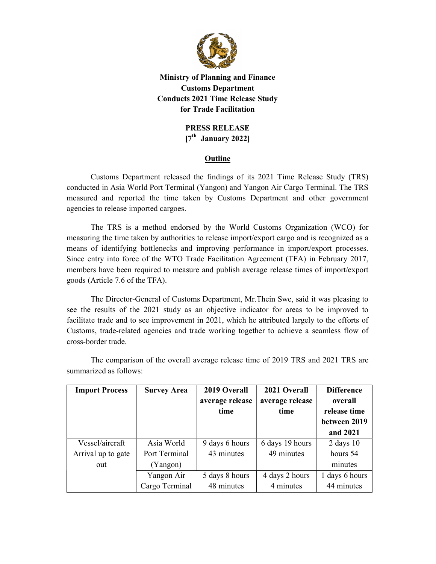

## Ministry of Planning and Finance Customs Department Conducts 2021 Time Release Study for Trade Facilitation

## PRESS RELEASE  $[7<sup>th</sup>$  January 2022]

## **Outline**

 Customs Department released the findings of its 2021 Time Release Study (TRS) conducted in Asia World Port Terminal (Yangon) and Yangon Air Cargo Terminal. The TRS measured and reported the time taken by Customs Department and other government agencies to release imported cargoes.

The TRS is a method endorsed by the World Customs Organization (WCO) for measuring the time taken by authorities to release import/export cargo and is recognized as a means of identifying bottlenecks and improving performance in import/export processes. Since entry into force of the WTO Trade Facilitation Agreement (TFA) in February 2017, members have been required to measure and publish average release times of import/export goods (Article 7.6 of the TFA).

The Director-General of Customs Department, Mr.Thein Swe, said it was pleasing to see the results of the 2021 study as an objective indicator for areas to be improved to facilitate trade and to see improvement in 2021, which he attributed largely to the efforts of Customs, trade-related agencies and trade working together to achieve a seamless flow of cross-border trade.

| <b>Import Process</b> | <b>Survey Area</b> | 2019 Overall    | 2021 Overall    | <b>Difference</b> |
|-----------------------|--------------------|-----------------|-----------------|-------------------|
|                       |                    | average release | average release | overall           |
|                       |                    | time            | time            | release time      |
|                       |                    |                 |                 | between 2019      |
|                       |                    |                 |                 | and 2021          |
| Vessel/aircraft       | Asia World         | 9 days 6 hours  | 6 days 19 hours | $2$ days $10$     |
| Arrival up to gate    | Port Terminal      | 43 minutes      | 49 minutes      | hours 54          |
| out                   | (Yangon)           |                 |                 | minutes           |
|                       | Yangon Air         | 5 days 8 hours  | 4 days 2 hours  | 1 days 6 hours    |
|                       | Cargo Terminal     | 48 minutes      | 4 minutes       | 44 minutes        |

 The comparison of the overall average release time of 2019 TRS and 2021 TRS are summarized as follows: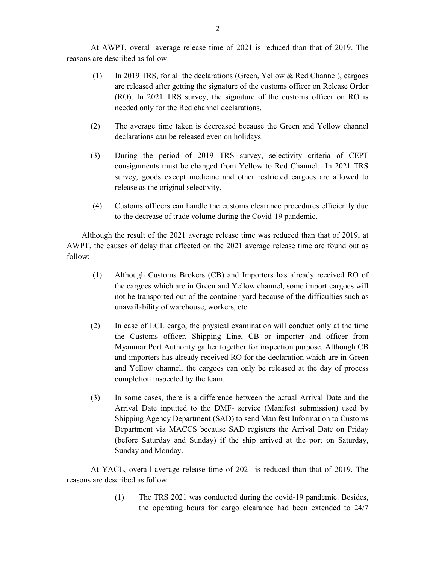At AWPT, overall average release time of 2021 is reduced than that of 2019. The reasons are described as follow:

- (1) In 2019 TRS, for all the declarations (Green, Yellow & Red Channel), cargoes are released after getting the signature of the customs officer on Release Order (RO). In 2021 TRS survey, the signature of the customs officer on RO is needed only for the Red channel declarations.
- (2) The average time taken is decreased because the Green and Yellow channel declarations can be released even on holidays.
- (3) During the period of 2019 TRS survey, selectivity criteria of CEPT consignments must be changed from Yellow to Red Channel. In 2021 TRS survey, goods except medicine and other restricted cargoes are allowed to release as the original selectivity.
- (4) Customs officers can handle the customs clearance procedures efficiently due to the decrease of trade volume during the Covid-19 pandemic.

 Although the result of the 2021 average release time was reduced than that of 2019, at AWPT, the causes of delay that affected on the 2021 average release time are found out as follow:

- (1) Although Customs Brokers (CB) and Importers has already received RO of the cargoes which are in Green and Yellow channel, some import cargoes will not be transported out of the container yard because of the difficulties such as unavailability of warehouse, workers, etc.
- (2) In case of LCL cargo, the physical examination will conduct only at the time the Customs officer, Shipping Line, CB or importer and officer from Myanmar Port Authority gather together for inspection purpose. Although CB and importers has already received RO for the declaration which are in Green and Yellow channel, the cargoes can only be released at the day of process completion inspected by the team.
- (3) In some cases, there is a difference between the actual Arrival Date and the Arrival Date inputted to the DMF- service (Manifest submission) used by Shipping Agency Department (SAD) to send Manifest Information to Customs Department via MACCS because SAD registers the Arrival Date on Friday (before Saturday and Sunday) if the ship arrived at the port on Saturday, Sunday and Monday.

 At YACL, overall average release time of 2021 is reduced than that of 2019. The reasons are described as follow:

> (1) The TRS 2021 was conducted during the covid-19 pandemic. Besides, the operating hours for cargo clearance had been extended to 24/7